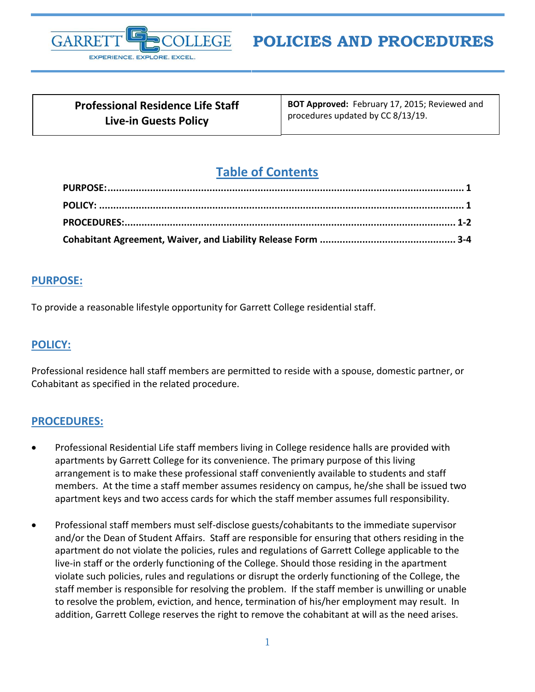

**POLICIES AND PROCEDURES**

| <b>Professional Residence Life Staff</b> |
|------------------------------------------|
| <b>Live-in Guests Policy</b>             |

**BOT Approved:** February 17, 2015; Reviewed and procedures updated by CC 8/13/19.

# **Table of Contents**

### <span id="page-0-0"></span>**PURPOSE:**

To provide a reasonable lifestyle opportunity for Garrett College residential staff.

## <span id="page-0-1"></span>**POLICY:**

Professional residence hall staff members are permitted to reside with a spouse, domestic partner, or Cohabitant as specified in the related procedure.

#### <span id="page-0-2"></span>**PROCEDURES:**

- Professional Residential Life staff members living in College residence halls are provided with apartments by Garrett College for its convenience. The primary purpose of this living arrangement is to make these professional staff conveniently available to students and staff members. At the time a staff member assumes residency on campus, he/she shall be issued two apartment keys and two access cards for which the staff member assumes full responsibility.
- Professional staff members must self-disclose guests/cohabitants to the immediate supervisor and/or the Dean of Student Affairs. Staff are responsible for ensuring that others residing in the apartment do not violate the policies, rules and regulations of Garrett College applicable to the live-in staff or the orderly functioning of the College. Should those residing in the apartment violate such policies, rules and regulations or disrupt the orderly functioning of the College, the staff member is responsible for resolving the problem. If the staff member is unwilling or unable to resolve the problem, eviction, and hence, termination of his/her employment may result. In addition, Garrett College reserves the right to remove the cohabitant at will as the need arises.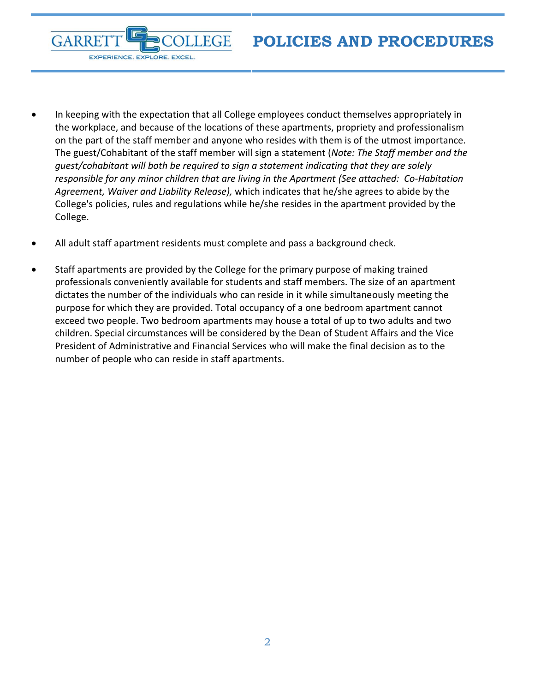**POLICIES AND PROCEDURES**

- In keeping with the expectation that all College employees conduct themselves appropriately in the workplace, and because of the locations of these apartments, propriety and professionalism on the part of the staff member and anyone who resides with them is of the utmost importance. The guest/Cohabitant of the staff member will sign a statement (*Note: The Staff member and the guest/cohabitant will both be required to sign a statement indicating that they are solely responsible for any minor children that are living in the Apartment (See attached: Co-Habitation Agreement, Waiver and Liability Release),* which indicates that he/she agrees to abide by the College's policies, rules and regulations while he/she resides in the apartment provided by the College.
- All adult staff apartment residents must complete and pass a background check.

**FGE** 

**GARRE** 

EXPERIENCE. EXPLORE. EXCEL.

• Staff apartments are provided by the College for the primary purpose of making trained professionals conveniently available for students and staff members. The size of an apartment dictates the number of the individuals who can reside in it while simultaneously meeting the purpose for which they are provided. Total occupancy of a one bedroom apartment cannot exceed two people. Two bedroom apartments may house a total of up to two adults and two children. Special circumstances will be considered by the Dean of Student Affairs and the Vice President of Administrative and Financial Services who will make the final decision as to the number of people who can reside in staff apartments.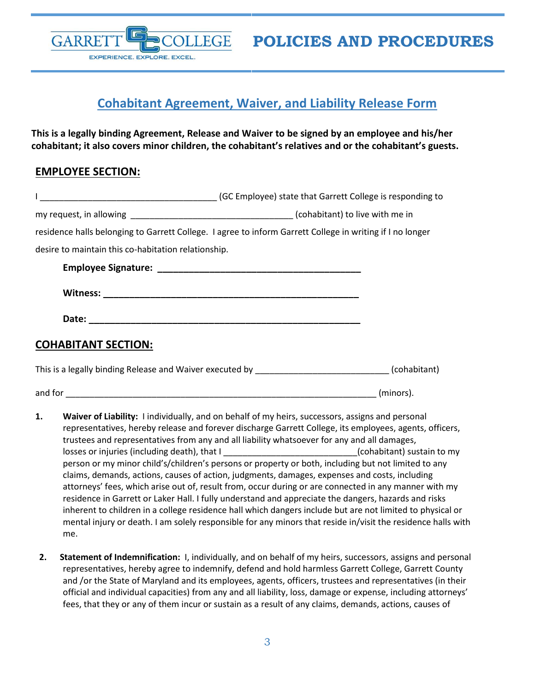GARRE EXPERIENCE. EXPLORE. EXCEL.

**POLICIES AND PROCEDURES**

## <span id="page-2-0"></span>**Cohabitant Agreement, Waiver, and Liability Release Form**

**This is a legally binding Agreement, Release and Waiver to be signed by an employee and his/her cohabitant; it also covers minor children, the cohabitant's relatives and or the cohabitant's guests.**

## **EMPLOYEE SECTION:**

|                                                     | (GC Employee) state that Garrett College is responding to (SC Employee) state that Garrett College is responding to |  |
|-----------------------------------------------------|---------------------------------------------------------------------------------------------------------------------|--|
|                                                     |                                                                                                                     |  |
|                                                     | residence halls belonging to Garrett College. I agree to inform Garrett College in writing if I no longer           |  |
| desire to maintain this co-habitation relationship. |                                                                                                                     |  |
|                                                     |                                                                                                                     |  |
|                                                     |                                                                                                                     |  |
|                                                     |                                                                                                                     |  |
| <b>COHABITANT SECTION:</b>                          |                                                                                                                     |  |
|                                                     | This is a legally binding Release and Waiver executed by _____________________________(cohabitant)                  |  |
|                                                     | (minors).                                                                                                           |  |

- **1. Waiver of Liability:** I individually, and on behalf of my heirs, successors, assigns and personal representatives, hereby release and forever discharge Garrett College, its employees, agents, officers, trustees and representatives from any and all liability whatsoever for any and all damages, losses or injuries (including death), that I \_\_\_\_\_\_\_\_\_\_\_\_\_\_\_\_\_\_\_\_\_\_\_\_\_\_\_\_\_(cohabitant) sustain to my person or my minor child's/children's persons or property or both, including but not limited to any claims, demands, actions, causes of action, judgments, damages, expenses and costs, including attorneys' fees, which arise out of, result from, occur during or are connected in any manner with my residence in Garrett or Laker Hall. I fully understand and appreciate the dangers, hazards and risks inherent to children in a college residence hall which dangers include but are not limited to physical or mental injury or death. I am solely responsible for any minors that reside in/visit the residence halls with me.
- **2. Statement of Indemnification:** I, individually, and on behalf of my heirs, successors, assigns and personal representatives, hereby agree to indemnify, defend and hold harmless Garrett College, Garrett County and /or the State of Maryland and its employees, agents, officers, trustees and representatives (in their official and individual capacities) from any and all liability, loss, damage or expense, including attorneys' fees, that they or any of them incur or sustain as a result of any claims, demands, actions, causes of